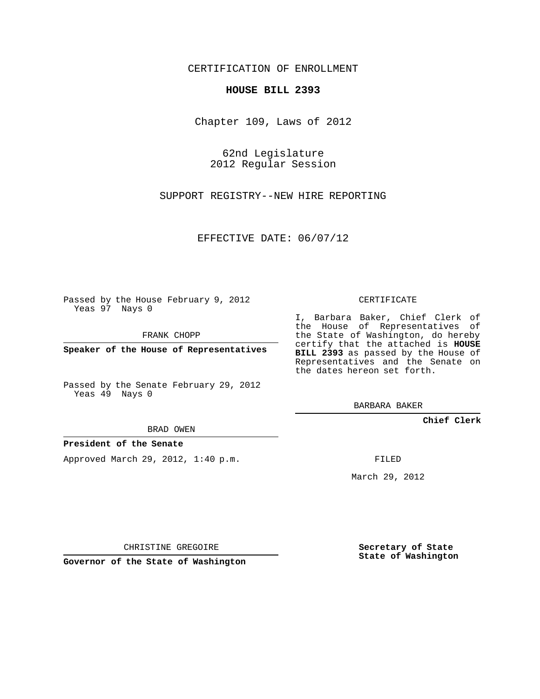### CERTIFICATION OF ENROLLMENT

#### **HOUSE BILL 2393**

Chapter 109, Laws of 2012

62nd Legislature 2012 Regular Session

SUPPORT REGISTRY--NEW HIRE REPORTING

EFFECTIVE DATE: 06/07/12

Passed by the House February 9, 2012 Yeas 97 Nays 0

FRANK CHOPP

**Speaker of the House of Representatives**

Passed by the Senate February 29, 2012 Yeas 49 Nays 0

BRAD OWEN

#### **President of the Senate**

Approved March 29, 2012, 1:40 p.m.

CERTIFICATE

I, Barbara Baker, Chief Clerk of the House of Representatives of the State of Washington, do hereby certify that the attached is **HOUSE BILL 2393** as passed by the House of Representatives and the Senate on the dates hereon set forth.

BARBARA BAKER

**Chief Clerk**

FILED

March 29, 2012

CHRISTINE GREGOIRE

**Governor of the State of Washington**

**Secretary of State State of Washington**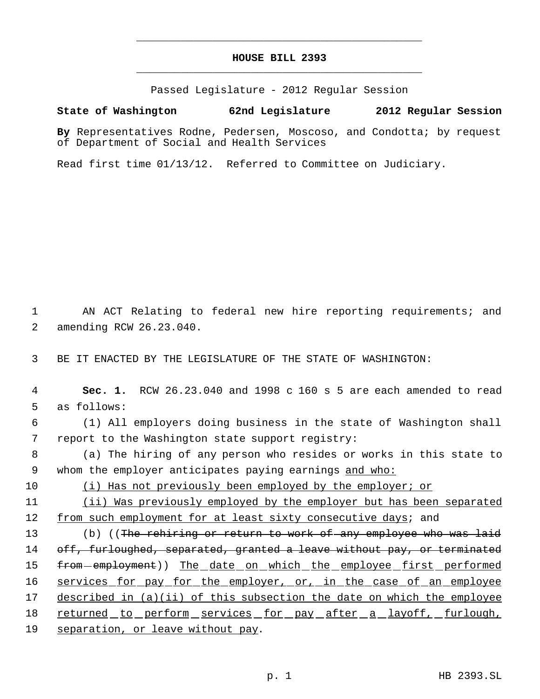# **HOUSE BILL 2393** \_\_\_\_\_\_\_\_\_\_\_\_\_\_\_\_\_\_\_\_\_\_\_\_\_\_\_\_\_\_\_\_\_\_\_\_\_\_\_\_\_\_\_\_\_

\_\_\_\_\_\_\_\_\_\_\_\_\_\_\_\_\_\_\_\_\_\_\_\_\_\_\_\_\_\_\_\_\_\_\_\_\_\_\_\_\_\_\_\_\_

Passed Legislature - 2012 Regular Session

## **State of Washington 62nd Legislature 2012 Regular Session**

**By** Representatives Rodne, Pedersen, Moscoso, and Condotta; by request of Department of Social and Health Services

Read first time 01/13/12. Referred to Committee on Judiciary.

 1 AN ACT Relating to federal new hire reporting requirements; and 2 amending RCW 26.23.040.

3 BE IT ENACTED BY THE LEGISLATURE OF THE STATE OF WASHINGTON:

 4 **Sec. 1.** RCW 26.23.040 and 1998 c 160 s 5 are each amended to read 5 as follows:

 6 (1) All employers doing business in the state of Washington shall 7 report to the Washington state support registry:

 8 (a) The hiring of any person who resides or works in this state to 9 whom the employer anticipates paying earnings and who:

10 (i) Has not previously been employed by the employer; or

11 (ii) Was previously employed by the employer but has been separated 12 from such employment for at least sixty consecutive days; and

13 (b) ((The rehiring or return to work of any employee who was laid 14 off, furloughed, separated, granted a leave without pay, or terminated 15 from employment)) The date on which the employee first performed 16 services for pay for the employer, or, in the case of an employee 17 described in (a)(ii) of this subsection the date on which the employee 18 returned to perform services for pay after a layoff, furlough, 19 separation, or leave without pay.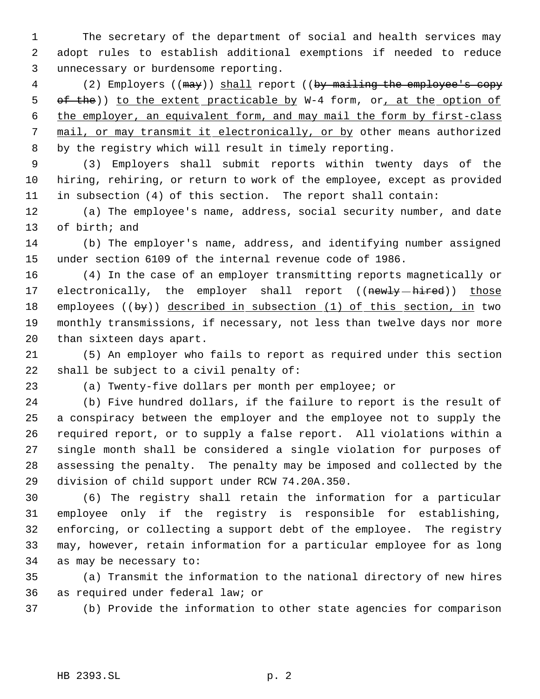The secretary of the department of social and health services may adopt rules to establish additional exemptions if needed to reduce unnecessary or burdensome reporting.

4 (2) Employers ((may)) shall report ((by mailing the employee's copy 5 of the)) to the extent practicable by W-4 form, or, at the option of the employer, an equivalent form, and may mail the form by first-class 7 mail, or may transmit it electronically, or by other means authorized by the registry which will result in timely reporting.

 (3) Employers shall submit reports within twenty days of the hiring, rehiring, or return to work of the employee, except as provided in subsection (4) of this section. The report shall contain:

 (a) The employee's name, address, social security number, and date of birth; and

 (b) The employer's name, address, and identifying number assigned under section 6109 of the internal revenue code of 1986.

 (4) In the case of an employer transmitting reports magnetically or 17 electronically, the employer shall report ((newly-hired)) those 18 employees ((by)) described in subsection (1) of this section, in two monthly transmissions, if necessary, not less than twelve days nor more than sixteen days apart.

 (5) An employer who fails to report as required under this section shall be subject to a civil penalty of:

(a) Twenty-five dollars per month per employee; or

 (b) Five hundred dollars, if the failure to report is the result of a conspiracy between the employer and the employee not to supply the required report, or to supply a false report. All violations within a single month shall be considered a single violation for purposes of assessing the penalty. The penalty may be imposed and collected by the division of child support under RCW 74.20A.350.

 (6) The registry shall retain the information for a particular employee only if the registry is responsible for establishing, enforcing, or collecting a support debt of the employee. The registry may, however, retain information for a particular employee for as long as may be necessary to:

 (a) Transmit the information to the national directory of new hires as required under federal law; or

(b) Provide the information to other state agencies for comparison